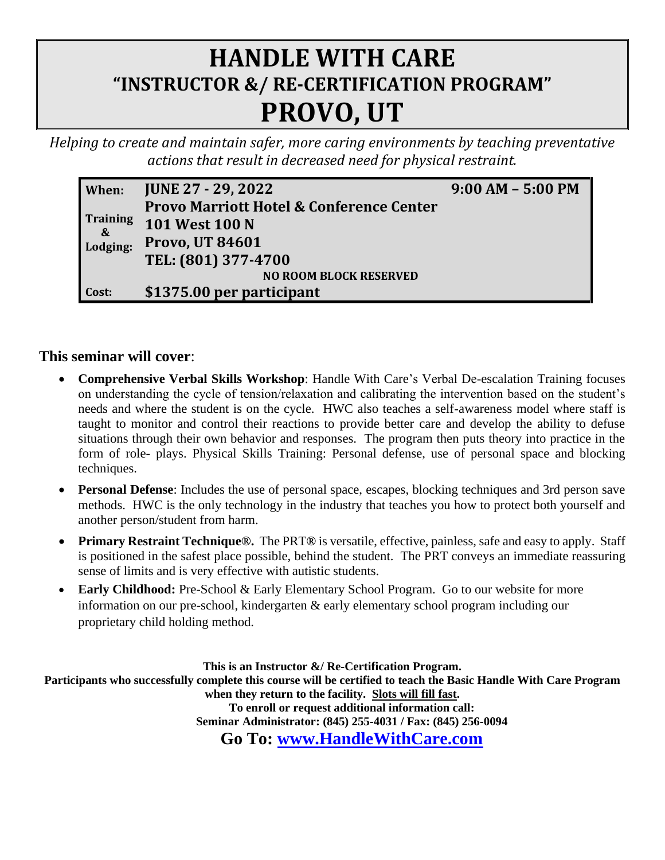## **HANDLE WITH CARE "INSTRUCTOR &/ RE-CERTIFICATION PROGRAM" PROVO, UT**

*Helping to create and maintain safer, more caring environments by teaching preventative actions that result in decreased need for physical restraint.* 

| When:                         | <b>JUNE 27 - 29, 2022</b>                           | $9:00 AM - 5:00 PM$ |  |  |  |  |
|-------------------------------|-----------------------------------------------------|---------------------|--|--|--|--|
| Training<br>$-8$<br>Lodging:  | <b>Provo Marriott Hotel &amp; Conference Center</b> |                     |  |  |  |  |
|                               | <b>101 West 100 N</b>                               |                     |  |  |  |  |
|                               | <b>Provo, UT 84601</b>                              |                     |  |  |  |  |
|                               | TEL: (801) 377-4700                                 |                     |  |  |  |  |
| <b>NO ROOM BLOCK RESERVED</b> |                                                     |                     |  |  |  |  |
| Cost:                         | \$1375.00 per participant                           |                     |  |  |  |  |

## **This seminar will cover**:

- **Comprehensive Verbal Skills Workshop**: Handle With Care's Verbal De-escalation Training focuses on understanding the cycle of tension/relaxation and calibrating the intervention based on the student's needs and where the student is on the cycle. HWC also teaches a self-awareness model where staff is taught to monitor and control their reactions to provide better care and develop the ability to defuse situations through their own behavior and responses. The program then puts theory into practice in the form of role- plays. Physical Skills Training: Personal defense, use of personal space and blocking techniques.
- **Personal Defense**: Includes the use of personal space, escapes, blocking techniques and 3rd person save methods. HWC is the only technology in the industry that teaches you how to protect both yourself and another person/student from harm.
- **Primary Restraint Technique®.** The PRT**®** is versatile, effective, painless, safe and easy to apply. Staff is positioned in the safest place possible, behind the student. The PRT conveys an immediate reassuring sense of limits and is very effective with autistic students.
- **Early Childhood:** Pre-School & Early Elementary School Program. Go to our website for more information on our pre-school, kindergarten & early elementary school program including our proprietary child holding method.

**This is an Instructor &/ Re-Certification Program. Participants who successfully complete this course will be certified to teach the Basic Handle With Care Program when they return to the facility. Slots will fill fast. To enroll or request additional information call: Seminar Administrator: (845) 255-4031 / Fax: (845) 256-0094 Go To: [www.HandleWithCare.com](http://www.handlewithcare.com/)**